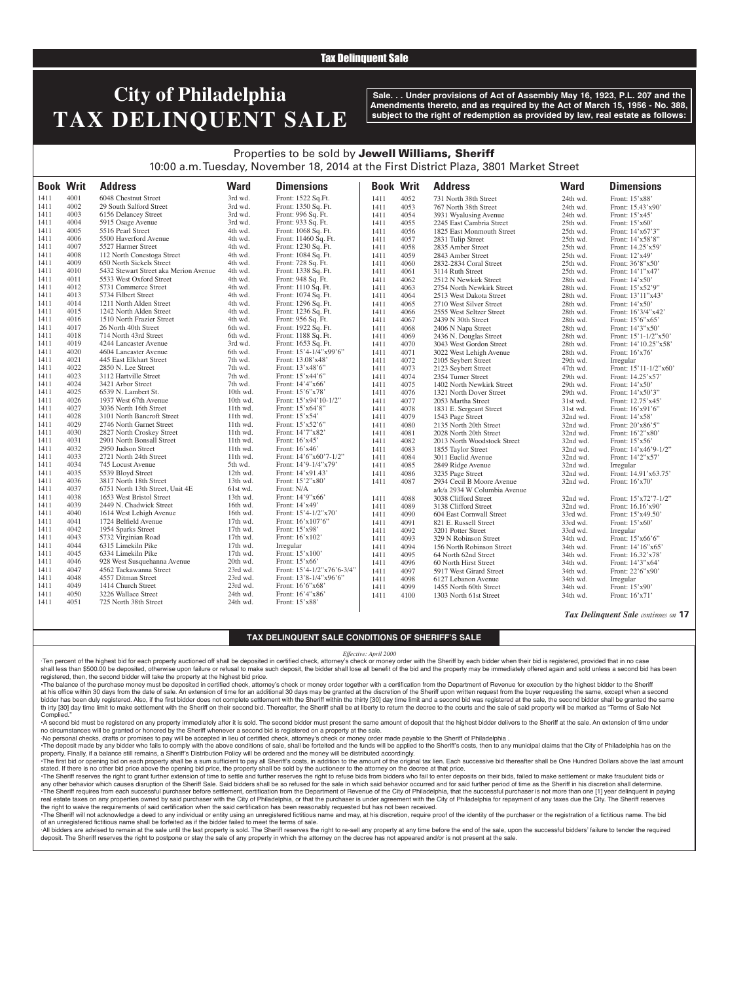### Tax Delinquent Sale

# **City of Philadelphia TAX DELINQUENT SALE**

**Sale. . . Under provisions of Act of Assembly May 16, 1923, P.L. 207 and the Amendments thereto, and as required by the Act of March 15, 1956 - No. 388, subject to the right of redemption as provided by law, real estate as follows:**

## Properties to be sold by Jewell Williams, Sheriff 10:00 a.m. Tuesday, November 18, 2014 at the First District Plaza, 3801 Market Street

| <b>Book Writ</b> |      | <b>Address</b>                        | <b>Ward</b> | <b>Dimensions</b>          | <b>Book Writ</b> |      | <b>Address</b>               | <b>Ward</b> | <b>Dimensions</b>      |
|------------------|------|---------------------------------------|-------------|----------------------------|------------------|------|------------------------------|-------------|------------------------|
| 1411             | 4001 | 6048 Chestnut Street                  | 3rd wd.     | Front: 1522 Sq.Ft.         | 1411             | 4052 | 731 North 38th Street        | 24th wd.    | Front: 15'x88'         |
| 1411             | 4002 | 29 South Salford Street               | 3rd wd.     | Front: 1350 Sq. Ft.        | 1411             | 4053 | 767 North 38th Street        | 24th wd.    | Front: 15.43'x90'      |
| 1411             | 4003 | 6156 Delancey Street                  | 3rd wd.     | Front: 996 Sq. Ft.         | 1411             | 4054 | 3931 Wyalusing Avenue        | 24th wd.    | Front: 15'x45'         |
| 1411             | 4004 | 5915 Osage Avenue                     | 3rd wd.     | Front: 933 Sq. Ft.         | 1411             | 4055 | 2245 East Cambria Street     | 25th wd.    | Front: 15'x60'         |
| 1411             | 4005 | 5516 Pearl Street                     | 4th wd.     | Front: 1068 Sq. Ft.        | 1411             | 4056 | 1825 East Monmouth Street    | 25th wd.    | Front: 14'x67'3"       |
| 1411             | 4006 | 5500 Haverford Avenue                 | 4th wd.     | Front: 11460 Sq. Ft.       | 1411             | 4057 | 2831 Tulip Street            | 25th wd.    | Front: 14'x58'8"       |
| 1411             | 4007 | 5527 Harmer Street                    | 4th wd.     | Front: 1230 Sq. Ft.        | 1411             | 4058 | 2835 Amber Street            | 25th wd.    | Front: 14.25'x59'      |
| 1411             | 4008 | 112 North Conestoga Street            | 4th wd.     | Front: 1084 Sq. Ft.        | 1411             | 4059 | 2843 Amber Street            | 25th wd.    | Front: 12'x49'         |
| 1411             | 4009 | 650 North Sickels Street              | 4th wd.     | Front: 728 Sq. Ft.         | 1411             | 4060 | 2832-2834 Coral Street       | 25th wd.    | Front: 36'8"x50'       |
| 1411             | 4010 | 5432 Stewart Street aka Merion Avenue | 4th wd.     | Front: 1338 Sq. Ft.        | 1411             | 4061 | 3114 Ruth Street             | 25th wd.    | Front: 14'1"x47'       |
| 1411             | 4011 | 5533 West Oxford Street               | 4th wd.     | Front: 948 Sq. Ft.         | 1411             | 4062 | 2512 N Newkirk Street        | 28th wd.    | Front: 14'x50'         |
| 1411             | 4012 | 5731 Commerce Street                  | 4th wd.     | Front: 1110 Sq. Ft.        | 1411             | 4063 | 2754 North Newkirk Street    | 28th wd.    | Front: 15'x52'9"       |
| 1411             | 4013 | 5734 Filbert Street                   | 4th wd.     | Front: 1074 Sq. Ft.        | 1411             | 4064 | 2513 West Dakota Street      | 28th wd.    | Front: 13'11"x43'      |
| 1411             | 4014 | 1211 North Alden Street               | 4th wd.     | Front: 1296 Sq. Ft.        | 1411             | 4065 | 2710 West Silver Street      | 28th wd.    | Front: 14'x50'         |
| 1411             | 4015 | 1242 North Alden Street               | 4th wd.     | Front: 1236 Sq. Ft.        | 1411             | 4066 | 2555 West Seltzer Street     | 28th wd.    | Front: 16'3/4"x42'     |
| 1411             | 4016 | 1510 North Frazier Street             | 4th wd.     | Front: 956 Sq. Ft.         | 1411             | 4067 | 2439 N 30th Street           | 28th wd.    | Front: 15'6"x65'       |
| 1411             | 4017 | 26 North 40th Street                  | 6th wd.     | Front: 1922 Sq. Ft.        | 1411             | 4068 | 2406 N Napa Street           | 28th wd.    | Front: 14'3"x50'       |
| 1411             | 4018 | 714 North 43rd Street                 | 6th wd.     | Front: 1188 Sq. Ft.        | 1411             | 4069 | 2436 N. Douglas Street       | 28th wd.    | Front: 15'1-1/2"x50'   |
| 1411             | 4019 | 4244 Lancaster Avenue                 | 3rd wd.     | Front: 1653 Sq. Ft.        | 1411             | 4070 | 3043 West Gordon Street      | 28th wd.    | Front: 14'10.25"x58'   |
| 1411             | 4020 | 4604 Lancaster Avenue                 | 6th wd.     | Front: 15'4-1/4"x99'6"     | 1411             | 4071 | 3022 West Lehigh Avenue      | 28th wd.    | Front: 16'x76'         |
| 1411             | 4021 | 445 East Elkhart Street               | 7th wd.     | Front: 13.08'x48'          | 1411             | 4072 | 2105 Seybert Street          | 29th wd.    | Irregular              |
| 1411             | 4022 | 2850 N. Lee Street                    | 7th wd.     | Front: 13'x48'6"           | 1411             | 4073 | 2123 Seybert Street          | 47th wd.    | Front: 15'11-1/2"x60'  |
| 1411             | 4023 | 3112 Hartville Street                 | 7th wd.     | Front: 15'x44'6"           | 1411             | 4074 | 2354 Turner Street           | 29th wd.    | Front: 14.25'x57'      |
| 1411             | 4024 | 3421 Arbor Street                     | 7th wd.     | Front: 14'4"x66'           | 1411             | 4075 | 1402 North Newkirk Street    | 29th wd.    | Front: 14'x50'         |
| 1411             | 4025 | 6539 N. Lambert St.                   | 10th wd.    | Front: 15'6"x78'           | 1411             | 4076 | 1321 North Dover Street      | 29th wd.    | Front: 14'x50'3"       |
| 1411             | 4026 | 1937 West 67th Avenue                 | 10th wd.    | Front: 15'x94'10-1/2"      | 1411             | 4077 | 2053 Martha Street           | 31st wd.    | Front: 12.75'x45'      |
| 1411             | 4027 | 3036 North 16th Street                | 11th wd.    | Front: 15'x64'8"           | 1411             | 4078 | 1831 E. Sergeant Street      | 31st wd.    | Front: 16'x91'6"       |
| 1411             | 4028 | 3101 North Bancroft Street            | 11th wd.    | Front: 15'x54'             | 1411             | 4079 | 1543 Page Street             | 32nd wd.    | Front: 14'x58'         |
| 1411             | 4029 | 2746 North Garnet Street              | 11th wd.    | Front: 15'x52'6"           | 1411             | 4080 | 2135 North 20th Street       | 32nd wd.    | Front: 20'x86'5"       |
| 1411             | 4030 | 2827 North Croskey Street             | 11th wd.    | Front: 14'7"x82'           | 1411             | 4081 | 2028 North 20th Street       | 32nd wd.    | Front: 16'2"x80'       |
| 1411             | 4031 | 2901 North Bonsall Street             | 11th wd.    | Front: $16'x45'$           | 1411             | 4082 | 2013 North Woodstock Street  | 32nd wd.    | Front: 15'x56'         |
| 1411             | 4032 | 2950 Judson Street                    | 11th wd.    | Front: 16'x46'             | 1411             | 4083 | 1855 Taylor Street           | 32nd wd.    | Front: $14'x46'9-1/2"$ |
| 1411             | 4033 | 2721 North 24th Street                | 11th wd.    | Front: 14'6"x60'7-1/2"     | 1411             | 4084 | 3011 Euclid Avenue           | 32nd wd.    | Front: 14'2"x57'       |
| 1411             | 4034 | 745 Locust Avenue                     | 5th wd.     | Front: $14'9-1/4''x79'$    | 1411             | 4085 | 2849 Ridge Avenue            | 32nd wd.    | Irregular              |
| 1411             | 4035 | 5539 Bloyd Street                     | 12th wd.    | Front: 14'x91.43'          | 1411             | 4086 | 3235 Page Street             | 32nd wd.    | Front: 14.91'x63.75'   |
| 1411             | 4036 | 3817 North 18th Street                | 13th wd.    | Front: 15'2"x80'           | 1411             | 4087 | 2934 Cecil B Moore Avenue    | 32nd wd.    | Front: 16'x70'         |
| 1411             | 4037 | 6751 North 13th Street, Unit 4E       | 61st wd.    | Front: N/A                 |                  |      | a/k/a 2934 W Columbia Avenue |             |                        |
| 1411             | 4038 | 1653 West Bristol Street              | 13th wd.    | Front: 14'9"x66'           | 1411             | 4088 | 3038 Clifford Street         | 32nd wd.    | Front: 15'x72'7-1/2"   |
| 1411             | 4039 | 2449 N. Chadwick Street               | 16th wd.    | Front: 14'x49'             | 1411             | 4089 | 3138 Clifford Street         | 32nd wd.    | Front: 16.16'x90'      |
| 1411             | 4040 | 1614 West Lehigh Avenue               | 16th wd.    | Front: 15'4-1/2"x70'       | 1411             | 4090 | 604 East Cornwall Street     | 33rd wd.    | Front: 15'x49.50'      |
| 1411             | 4041 | 1724 Belfield Avenue                  | 17th wd.    | Front: 16'x107'6"          | 1411             | 4091 | 821 E. Russell Street        | 33rd wd.    | Front: 15'x60'         |
| 1411             | 4042 | 1954 Sparks Street                    | 17th wd.    | Front: 15'x98'             | 1411             | 4092 | 3201 Potter Street           | 33rd wd.    | Irregular              |
| 1411             | 4043 | 5732 Virginian Road                   | 17th wd.    | Front: 16'x102'            | 1411             | 4093 | 329 N Robinson Street        | 34th wd.    | Front: 15'x66'6"       |
| 1411             | 4044 | 6315 Limekiln Pike                    | 17th wd.    | Irregular                  | 1411             | 4094 | 156 North Robinson Street    | 34th wd.    | Front: 14'16"x65'      |
| 1411             | 4045 | 6334 Limekiln Pike                    | 17th wd.    | Front: 15'x100'            | 1411             | 4095 | 64 North 62nd Street         | 34th wd.    | Front: 16.32'x78'      |
| 1411             | 4046 | 928 West Susquehanna Avenue           | 20th wd.    | Front: 15'x66'             | 1411             | 4096 | 60 North Hirst Street        | 34th wd.    | Front: 14'3"x64'       |
| 1411             | 4047 | 4562 Tackawanna Street                | 23rd wd.    | Front: 15'4-1/2"x76'6-3/4" | 1411             | 4097 | 5917 West Girard Street      | 34th wd.    | Front: 22'6"x90"       |
| 1411             | 4048 | 4557 Ditman Street                    | 23rd wd.    | Front: 13'8-1/4"x96'6"     | 1411             | 4098 | 6127 Lebanon Avenue          | 34th wd.    | Irregular              |
| 1411             | 4049 | 1414 Church Street                    | 23rd wd.    | Front: 16'6"x68'           | 1411             | 4099 | 1455 North 60th Street       | 34th wd.    | Front: 15'x90'         |
| 1411             | 4050 | 3226 Wallace Street                   | 24th wd.    | Front: 16'4"x86'           | 1411             | 4100 | 1303 North 61st Street       | 34th wd.    | Front: $16'x71'$       |
| 1411             | 4051 | 725 North 38th Street                 | 24th wd.    | Front: 15'x88'             |                  |      |                              |             |                        |

*Tax Delinquent Sale continues on* **17**

#### **TAX DELINQUENT SALE CONDITIONS OF SHERIFF'S SALE**

### *Effective: April 2000*

·Ten percent of the highest bid for each property auctioned off shall be deposited in certified check, attorney's check or money order with the Sheriff by each bidder when their bid is registered, provided that in no case shall less than \$500.00 be deposited, otherwise upon failure or refusal to make such deposit, the bidder shall lose all benefit of the bid and the property may be immediately offered again and sold unless a second bid has registered, then, the second bidder will take the property at the highest bid price.

•The balance of the purchase money must be deposited in certified check, attorney's check or money order together with a certification from the Department of Revenue for execution by the highest bidder to the Sheriff at his office within 30 days from the date of sale. An extension of time for an additional 30 days may be granted at the discretion of the Sheriff upon written request from the buyer requesting the same, except when a seco bidder has been duly registered. Also, if the first bidder does not complete settlement with the Sheriff within the thirty [30] day time limit and a second bid was registered at the sale, the second bidder shall be granted th irty [30] day time limit to make settlement with the Sheriff on their second bid. Thereafter, the Sheriff shall be at liberty to return the decree to the courts and the sale of said property will be marked as "Terms of Complied.

•A second bid must be registered on any property immediately after it is sold. The second bidder must present the same amount of deposit that the highest bidder delivers to the Sheriff at the sale. An extension of time under no circumstances will be granted or honored by the Sheriff whenever a second bid is registered on a property at the sale.

·No personal checks, drafts or promises to pay will be accepted in lieu of certified check, attorney's check or money order made payable to the Sheriff of Philadelphia .

. The deposit made by any bidder who fails to comply with the above conditions of sale, shall be forteited and the funds will be applied to the Sheriff's costs, then to any municipal claims that the City of Philadelphia ha

property. Finally, if a balance still remains, a Sheriff's Distribution Policy will be ordered and the money will be distributed accordingly. The first bid or opening bid on each property shall be a sum sufficient to pay all Sheriff's costs, in addition to the amount of the original tax lien. Each successive bid thereafter shall be One Hundred Dollars above the

stated. If there is no other bid price above the opening bid price, the property shall be sold by the auctioneer to the attorney on the decree at that price. ·The Sheriff reserves the right to grant further extension of time to settle and further reserves the right to refuse bids from bidders who fail to enter deposits on their bids, failed to make settlement or make fraudulent any other behavior which causes disruption of the Sheriff Sale. Said bidders shall be so refused for the sale in which said behavior occurred and for said further period of time as the Sheriff in his discretion shall deter . The Sheriff requires from each successful purchaser before settlement, certification from the Department of Revenue of the City of Philadelphia, that the successful purchaser is not more than one [1] year delinguent in p real estate taxes on any properties owned by said purchaser with the City of Philadelphia, or that the purchaser is under agreement with the City of Philadelphia for repayment of any taxes due the City. The Sheriff reserve the right to waive the requirements of said certification when the said certification has been reasonably requested but has not been received.

The Sheriff will not acknowledge a deed to any individual or entity using an unregistered fictitious name and may, at his discretion, require proof of the identity of the purchaser or the registration of a fictitious name. of an unregistered fictitious name shall be forfeited as if the bidder failed to meet the terms of sale.

-All bidders are advised to remain at the sale until the last property is sold. The Sheriff reserves the right to re-sell any property at any time before the end of the sale, upon the successful bidders' failure to tender deposit. The Sheriff reserves the right to postpone or stay the sale of any property in which the attorney on the decree has not appeared and/or is not present at the sale.